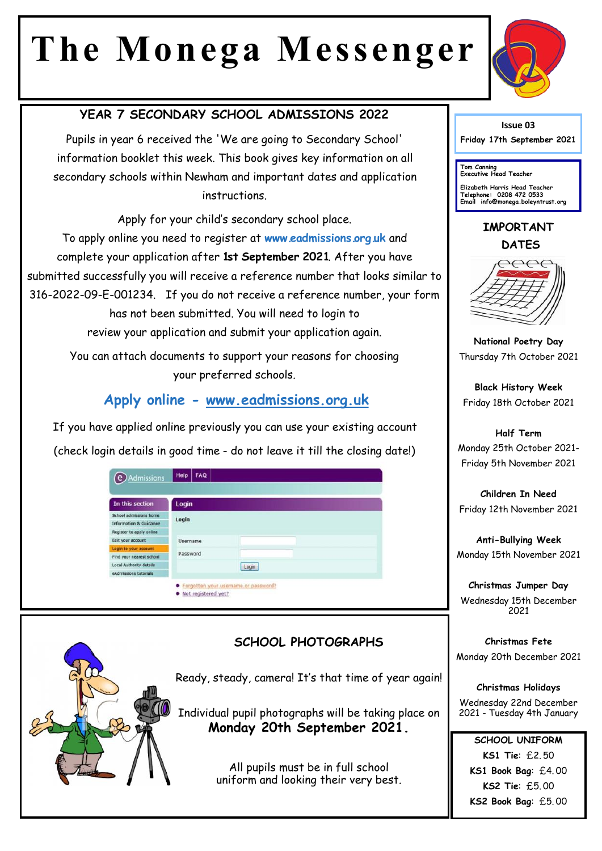# **The Monega Messenger**



## **YEAR 7 SECONDARY SCHOOL ADMISSIONS 2022**

Pupils in year 6 received the 'We are going to Secondary School' information booklet this week. This book gives key information on all secondary schools within Newham and important dates and application instructions.

Apply for your child's secondary school place. To apply online you need to register at **www.eadmissions.org.uk** and complete your application after **1st September 2021**. After you have submitted successfully you will receive a reference number that looks similar to 316-2022-09-E-001234. If you do not receive a reference number, your form has not been submitted. You will need to login to review your application and submit your application again.

> You can attach documents to support your reasons for choosing your preferred schools.

## **Apply online - www.eadmissions.org.uk**

If you have applied online previously you can use your existing account (check login details in good time - do not leave it till the closing date!)

| In this section                   | Login    |       |  |  |  |  |
|-----------------------------------|----------|-------|--|--|--|--|
| School admissions home            | Login    |       |  |  |  |  |
| <b>Information &amp; Guidance</b> |          |       |  |  |  |  |
| Register to apply online          |          |       |  |  |  |  |
| Edit your account                 | Username |       |  |  |  |  |
| Login to your account             |          |       |  |  |  |  |
| Find your nearest school          | Password |       |  |  |  |  |
| Local Authority details           |          | Login |  |  |  |  |
| eAdmissions tutorials             |          |       |  |  |  |  |

#### **SCHOOL PHOTOGRAPHS**

Ready, steady, camera! It's that time of year again!

Individual pupil photographs will be taking place on **Monday 20th September 2021.** 

> All pupils must be in full school uniform and looking their very best.

**Issue 03**

**Friday 17th September 2021** 

**Tom Canning Executive Head Teacher**

**Elizabeth Harris Head Teacher Telephone: 0208 472 0533 Email info@monega.boleyntrust.org** 

## **IMPORTANT DATES**



**National Poetry Day** Thursday 7th October 2021

**Black History Week** Friday 18th October 2021

**Half Term** Monday 25th October 2021- Friday 5th November 2021

**Children In Need** Friday 12th November 2021

**Anti-Bullying Week** Monday 15th November 2021

**Christmas Jumper Day** Wednesday 15th December 2021

**Christmas Fete** Monday 20th December 2021

**Christmas Holidays** Wednesday 22nd December 2021 - Tuesday 4th January

**SCHOOL UNIFORM KS1 Tie**: £2. 50 **KS1 Book Bag**: £4. 00 **KS2 Tie**: £5. 00 **KS2 Book Bag**: £5. 00